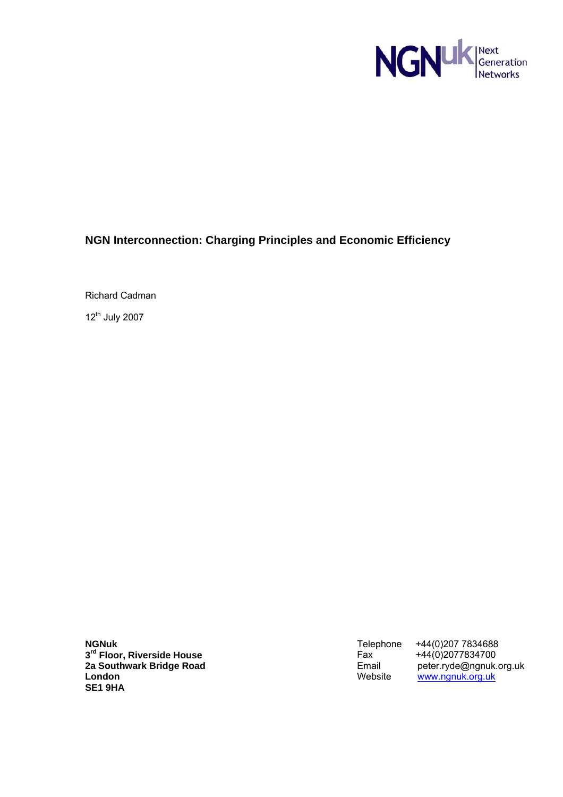

# **NGN Interconnection: Charging Principles and Economic Efficiency**

Richard Cadman

12<sup>th</sup> July 2007

**NGNuk 3rd Floor, Riverside House 2a Southwark Bridge Road London SE1 9HA** 

Telephone +44(0)207 7834688<br>Fax +44(0)2077834700<br>Email peter.ryde@ngnuk.o +44(0)2077834700 Email peter.ryde@ngnuk.org.uk Website <u>www.ngnuk.org.uk</u>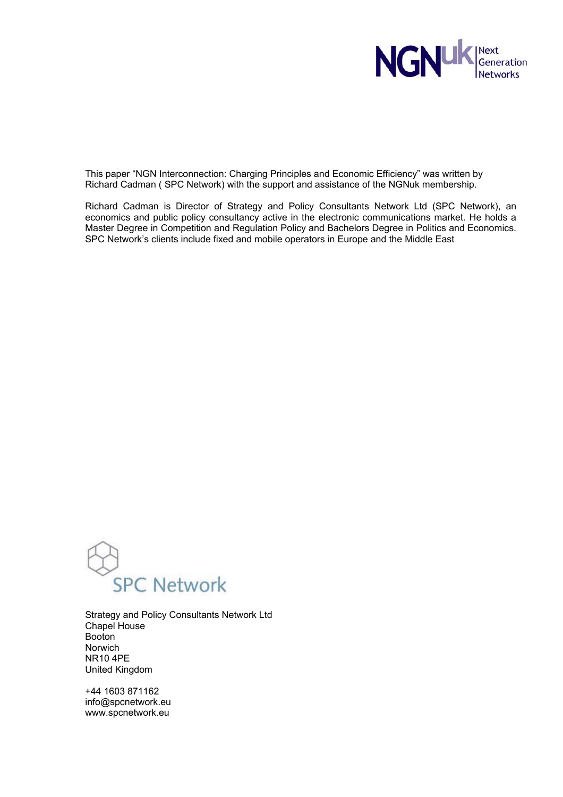

This paper "NGN Interconnection: Charging Principles and Economic Efficiency" was written by Richard Cadman ( SPC Network) with the support and assistance of the NGNuk membership.

Richard Cadman is Director of Strategy and Policy Consultants Network Ltd (SPC Network), an economics and public policy consultancy active in the electronic communications market. He holds a Master Degree in Competition and Regulation Policy and Bachelors Degree in Politics and Economics. SPC Network's clients include fixed and mobile operators in Europe and the Middle East



Strategy and Policy Consultants Network Ltd Chapel House Booton Norwich NR10 4PE United Kingdom

+44 1603 871162 info@spcnetwork.eu www.spcnetwork.eu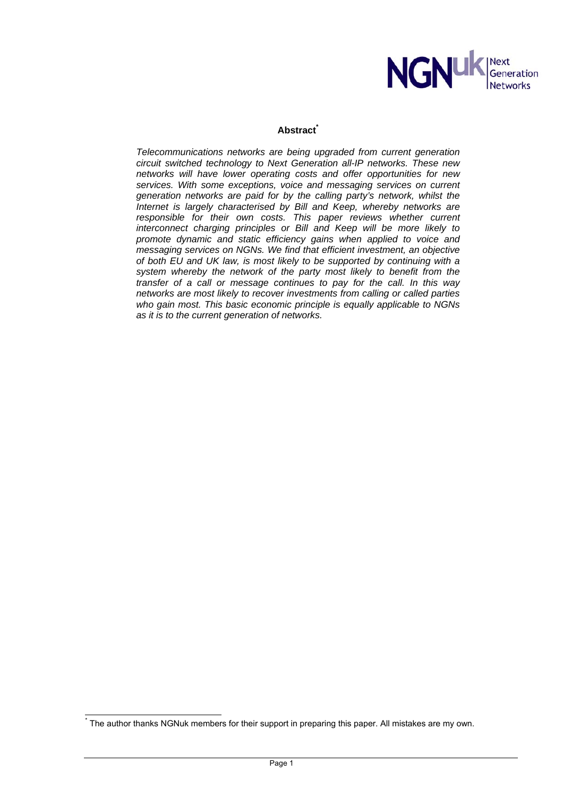

# **Abstract\***

*Telecommunications networks are being upgraded from current generation circuit switched technology to Next Generation all-IP networks. These new networks will have lower operating costs and offer opportunities for new*  services. With some exceptions, voice and messaging services on current *generation networks are paid for by the calling party's network, whilst the Internet is largely characterised by Bill and Keep, whereby networks are*  responsible for their own costs. This paper reviews whether current *interconnect charging principles or Bill and Keep will be more likely to promote dynamic and static efficiency gains when applied to voice and messaging services on NGNs. We find that efficient investment, an objective of both EU and UK law, is most likely to be supported by continuing with a system whereby the network of the party most likely to benefit from the transfer of a call or message continues to pay for the call. In this way networks are most likely to recover investments from calling or called parties who gain most. This basic economic principle is equally applicable to NGNs as it is to the current generation of networks.* 

 $\overline{a}$ 

<sup>\*</sup> The author thanks NGNuk members for their support in preparing this paper. All mistakes are my own.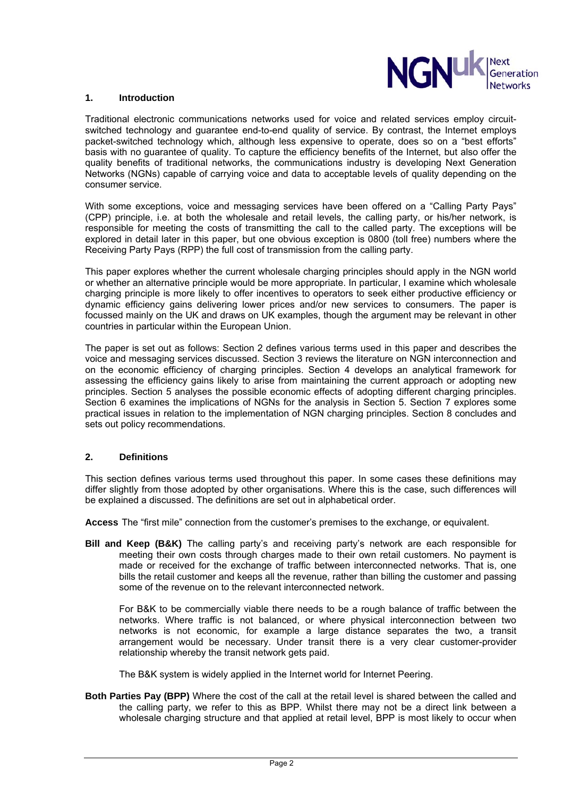

#### **1. Introduction**

Traditional electronic communications networks used for voice and related services employ circuitswitched technology and guarantee end-to-end quality of service. By contrast, the Internet employs packet-switched technology which, although less expensive to operate, does so on a "best efforts" basis with no guarantee of quality. To capture the efficiency benefits of the Internet, but also offer the quality benefits of traditional networks, the communications industry is developing Next Generation Networks (NGNs) capable of carrying voice and data to acceptable levels of quality depending on the consumer service.

With some exceptions, voice and messaging services have been offered on a "Calling Party Pays" (CPP) principle, i.e. at both the wholesale and retail levels, the calling party, or his/her network, is responsible for meeting the costs of transmitting the call to the called party. The exceptions will be explored in detail later in this paper, but one obvious exception is 0800 (toll free) numbers where the Receiving Party Pays (RPP) the full cost of transmission from the calling party.

This paper explores whether the current wholesale charging principles should apply in the NGN world or whether an alternative principle would be more appropriate. In particular, I examine which wholesale charging principle is more likely to offer incentives to operators to seek either productive efficiency or dynamic efficiency gains delivering lower prices and/or new services to consumers. The paper is focussed mainly on the UK and draws on UK examples, though the argument may be relevant in other countries in particular within the European Union.

The paper is set out as follows: Section 2 defines various terms used in this paper and describes the voice and messaging services discussed. Section 3 reviews the literature on NGN interconnection and on the economic efficiency of charging principles. Section 4 develops an analytical framework for assessing the efficiency gains likely to arise from maintaining the current approach or adopting new principles. Section 5 analyses the possible economic effects of adopting different charging principles. Section 6 examines the implications of NGNs for the analysis in Section 5. Section 7 explores some practical issues in relation to the implementation of NGN charging principles. Section 8 concludes and sets out policy recommendations.

# **2. Definitions**

This section defines various terms used throughout this paper. In some cases these definitions may differ slightly from those adopted by other organisations. Where this is the case, such differences will be explained a discussed. The definitions are set out in alphabetical order.

**Access** The "first mile" connection from the customer's premises to the exchange, or equivalent.

**Bill and Keep (B&K)** The calling party's and receiving party's network are each responsible for meeting their own costs through charges made to their own retail customers. No payment is made or received for the exchange of traffic between interconnected networks. That is, one bills the retail customer and keeps all the revenue, rather than billing the customer and passing some of the revenue on to the relevant interconnected network.

For B&K to be commercially viable there needs to be a rough balance of traffic between the networks. Where traffic is not balanced, or where physical interconnection between two networks is not economic, for example a large distance separates the two, a transit arrangement would be necessary. Under transit there is a very clear customer-provider relationship whereby the transit network gets paid.

The B&K system is widely applied in the Internet world for Internet Peering.

**Both Parties Pay (BPP)** Where the cost of the call at the retail level is shared between the called and the calling party, we refer to this as BPP. Whilst there may not be a direct link between a wholesale charging structure and that applied at retail level, BPP is most likely to occur when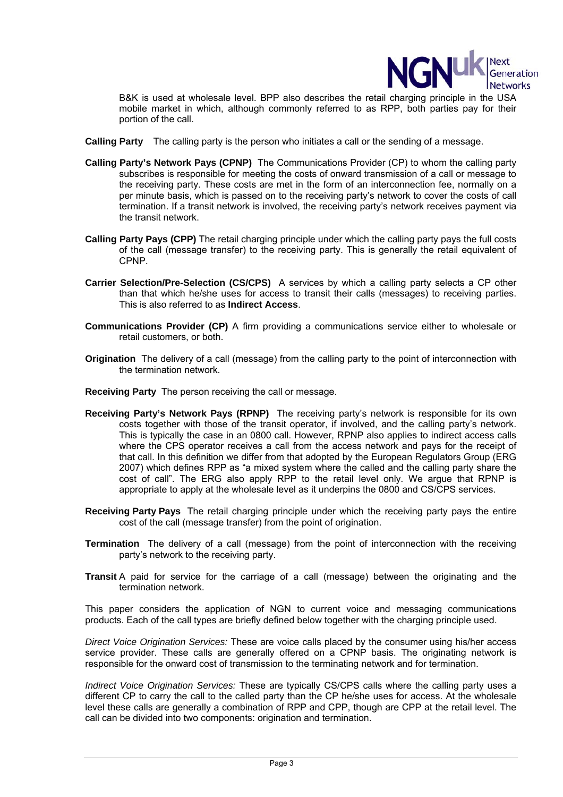

B&K is used at wholesale level. BPP also describes the retail charging principle in the USA mobile market in which, although commonly referred to as RPP, both parties pay for their portion of the call.

- **Calling Party** The calling party is the person who initiates a call or the sending of a message.
- **Calling Party's Network Pays (CPNP)** The Communications Provider (CP) to whom the calling party subscribes is responsible for meeting the costs of onward transmission of a call or message to the receiving party. These costs are met in the form of an interconnection fee, normally on a per minute basis, which is passed on to the receiving party's network to cover the costs of call termination. If a transit network is involved, the receiving party's network receives payment via the transit network.
- **Calling Party Pays (CPP)** The retail charging principle under which the calling party pays the full costs of the call (message transfer) to the receiving party. This is generally the retail equivalent of CPNP.
- **Carrier Selection/Pre-Selection (CS/CPS)** A services by which a calling party selects a CP other than that which he/she uses for access to transit their calls (messages) to receiving parties. This is also referred to as **Indirect Access**.
- **Communications Provider (CP)** A firm providing a communications service either to wholesale or retail customers, or both.
- **Origination** The delivery of a call (message) from the calling party to the point of interconnection with the termination network.
- **Receiving Party** The person receiving the call or message.
- **Receiving Party's Network Pays (RPNP)** The receiving party's network is responsible for its own costs together with those of the transit operator, if involved, and the calling party's network. This is typically the case in an 0800 call. However, RPNP also applies to indirect access calls where the CPS operator receives a call from the access network and pays for the receipt of that call. In this definition we differ from that adopted by the European Regulators Group (ERG 2007) which defines RPP as "a mixed system where the called and the calling party share the cost of call". The ERG also apply RPP to the retail level only. We argue that RPNP is appropriate to apply at the wholesale level as it underpins the 0800 and CS/CPS services.
- **Receiving Party Pays** The retail charging principle under which the receiving party pays the entire cost of the call (message transfer) from the point of origination.
- **Termination** The delivery of a call (message) from the point of interconnection with the receiving party's network to the receiving party.
- **Transit** A paid for service for the carriage of a call (message) between the originating and the termination network.

This paper considers the application of NGN to current voice and messaging communications products. Each of the call types are briefly defined below together with the charging principle used.

*Direct Voice Origination Services:* These are voice calls placed by the consumer using his/her access service provider. These calls are generally offered on a CPNP basis. The originating network is responsible for the onward cost of transmission to the terminating network and for termination.

*Indirect Voice Origination Services:* These are typically CS/CPS calls where the calling party uses a different CP to carry the call to the called party than the CP he/she uses for access. At the wholesale level these calls are generally a combination of RPP and CPP, though are CPP at the retail level. The call can be divided into two components: origination and termination.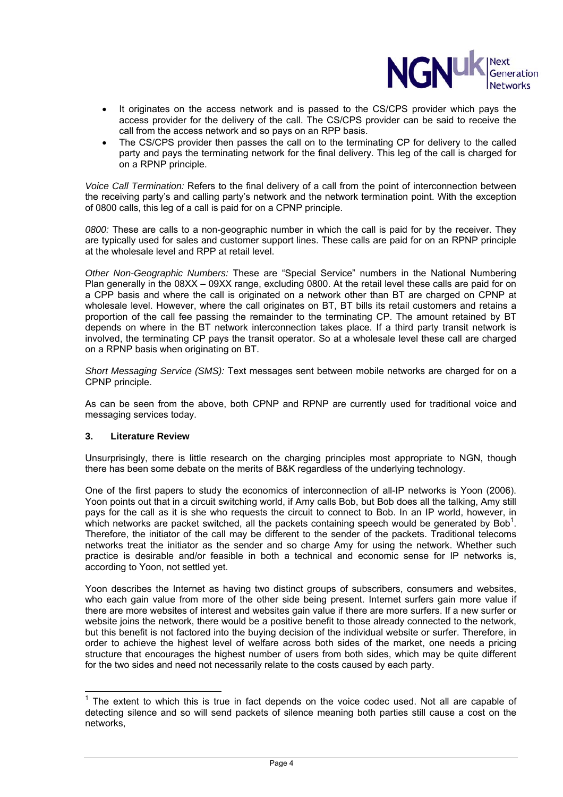

- It originates on the access network and is passed to the CS/CPS provider which pays the access provider for the delivery of the call. The CS/CPS provider can be said to receive the call from the access network and so pays on an RPP basis.
- The CS/CPS provider then passes the call on to the terminating CP for delivery to the called party and pays the terminating network for the final delivery. This leg of the call is charged for on a RPNP principle.

*Voice Call Termination:* Refers to the final delivery of a call from the point of interconnection between the receiving party's and calling party's network and the network termination point. With the exception of 0800 calls, this leg of a call is paid for on a CPNP principle.

*0800:* These are calls to a non-geographic number in which the call is paid for by the receiver. They are typically used for sales and customer support lines. These calls are paid for on an RPNP principle at the wholesale level and RPP at retail level.

*Other Non-Geographic Numbers:* These are "Special Service" numbers in the National Numbering Plan generally in the 08XX – 09XX range, excluding 0800. At the retail level these calls are paid for on a CPP basis and where the call is originated on a network other than BT are charged on CPNP at wholesale level. However, where the call originates on BT, BT bills its retail customers and retains a proportion of the call fee passing the remainder to the terminating CP. The amount retained by BT depends on where in the BT network interconnection takes place. If a third party transit network is involved, the terminating CP pays the transit operator. So at a wholesale level these call are charged on a RPNP basis when originating on BT.

*Short Messaging Service (SMS):* Text messages sent between mobile networks are charged for on a CPNP principle.

As can be seen from the above, both CPNP and RPNP are currently used for traditional voice and messaging services today.

# **3. Literature Review**

Unsurprisingly, there is little research on the charging principles most appropriate to NGN, though there has been some debate on the merits of B&K regardless of the underlying technology.

One of the first papers to study the economics of interconnection of all-IP networks is Yoon (2006). Yoon points out that in a circuit switching world, if Amy calls Bob, but Bob does all the talking, Amy still pays for the call as it is she who requests the circuit to connect to Bob. In an IP world, however, in which networks are packet switched, all the packets containing speech would be generated by Bob<sup>1</sup>. Therefore, the initiator of the call may be different to the sender of the packets. Traditional telecoms networks treat the initiator as the sender and so charge Amy for using the network. Whether such practice is desirable and/or feasible in both a technical and economic sense for IP networks is, according to Yoon, not settled yet.

Yoon describes the Internet as having two distinct groups of subscribers, consumers and websites, who each gain value from more of the other side being present. Internet surfers gain more value if there are more websites of interest and websites gain value if there are more surfers. If a new surfer or website joins the network, there would be a positive benefit to those already connected to the network, but this benefit is not factored into the buying decision of the individual website or surfer. Therefore, in order to achieve the highest level of welfare across both sides of the market, one needs a pricing structure that encourages the highest number of users from both sides, which may be quite different for the two sides and need not necessarily relate to the costs caused by each party.

l  $1$  The extent to which this is true in fact depends on the voice codec used. Not all are capable of detecting silence and so will send packets of silence meaning both parties still cause a cost on the networks,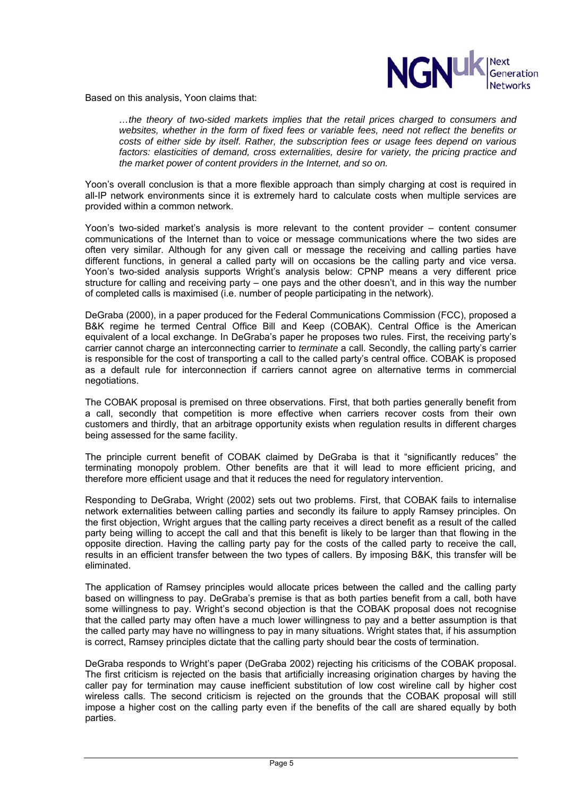

Based on this analysis, Yoon claims that:

*…the theory of two-sided markets implies that the retail prices charged to consumers and websites, whether in the form of fixed fees or variable fees, need not reflect the benefits or costs of either side by itself. Rather, the subscription fees or usage fees depend on various factors: elasticities of demand, cross externalities, desire for variety, the pricing practice and the market power of content providers in the Internet, and so on.* 

Yoon's overall conclusion is that a more flexible approach than simply charging at cost is required in all-IP network environments since it is extremely hard to calculate costs when multiple services are provided within a common network.

Yoon's two-sided market's analysis is more relevant to the content provider – content consumer communications of the Internet than to voice or message communications where the two sides are often very similar. Although for any given call or message the receiving and calling parties have different functions, in general a called party will on occasions be the calling party and vice versa. Yoon's two-sided analysis supports Wright's analysis below: CPNP means a very different price structure for calling and receiving party – one pays and the other doesn't, and in this way the number of completed calls is maximised (i.e. number of people participating in the network).

DeGraba (2000), in a paper produced for the Federal Communications Commission (FCC), proposed a B&K regime he termed Central Office Bill and Keep (COBAK). Central Office is the American equivalent of a local exchange. In DeGraba's paper he proposes two rules. First, the receiving party's carrier cannot charge an interconnecting carrier to *terminate* a call. Secondly, the calling party's carrier is responsible for the cost of transporting a call to the called party's central office. COBAK is proposed as a default rule for interconnection if carriers cannot agree on alternative terms in commercial negotiations.

The COBAK proposal is premised on three observations. First, that both parties generally benefit from a call, secondly that competition is more effective when carriers recover costs from their own customers and thirdly, that an arbitrage opportunity exists when regulation results in different charges being assessed for the same facility.

The principle current benefit of COBAK claimed by DeGraba is that it "significantly reduces" the terminating monopoly problem. Other benefits are that it will lead to more efficient pricing, and therefore more efficient usage and that it reduces the need for regulatory intervention.

Responding to DeGraba, Wright (2002) sets out two problems. First, that COBAK fails to internalise network externalities between calling parties and secondly its failure to apply Ramsey principles. On the first objection, Wright argues that the calling party receives a direct benefit as a result of the called party being willing to accept the call and that this benefit is likely to be larger than that flowing in the opposite direction. Having the calling party pay for the costs of the called party to receive the call, results in an efficient transfer between the two types of callers. By imposing B&K, this transfer will be eliminated.

The application of Ramsey principles would allocate prices between the called and the calling party based on willingness to pay. DeGraba's premise is that as both parties benefit from a call, both have some willingness to pay. Wright's second objection is that the COBAK proposal does not recognise that the called party may often have a much lower willingness to pay and a better assumption is that the called party may have no willingness to pay in many situations. Wright states that, if his assumption is correct, Ramsey principles dictate that the calling party should bear the costs of termination.

DeGraba responds to Wright's paper (DeGraba 2002) rejecting his criticisms of the COBAK proposal. The first criticism is rejected on the basis that artificially increasing origination charges by having the caller pay for termination may cause inefficient substitution of low cost wireline call by higher cost wireless calls. The second criticism is rejected on the grounds that the COBAK proposal will still impose a higher cost on the calling party even if the benefits of the call are shared equally by both parties.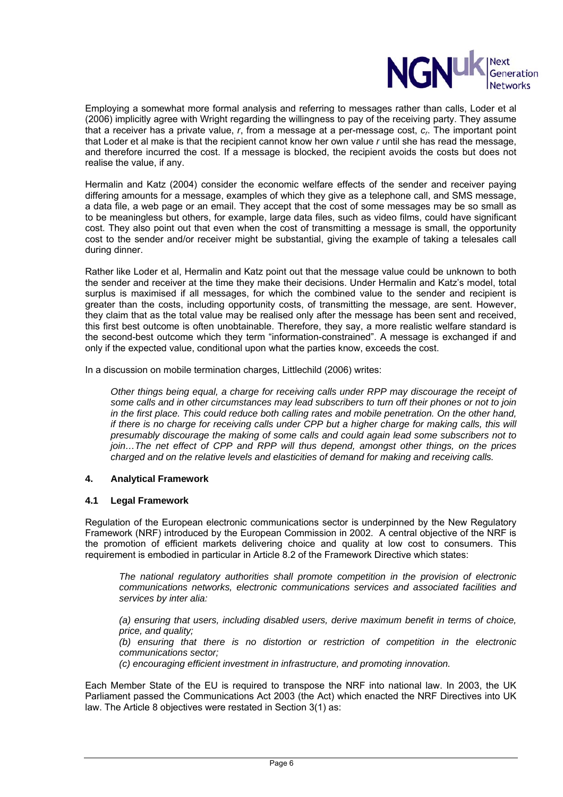

Employing a somewhat more formal analysis and referring to messages rather than calls, Loder et al (2006) implicitly agree with Wright regarding the willingness to pay of the receiving party. They assume that a receiver has a private value, *r*, from a message at a per-message cost, *cr*. The important point that Loder et al make is that the recipient cannot know her own value *r* until she has read the message, and therefore incurred the cost. If a message is blocked, the recipient avoids the costs but does not realise the value, if any.

Hermalin and Katz (2004) consider the economic welfare effects of the sender and receiver paying differing amounts for a message, examples of which they give as a telephone call, and SMS message, a data file, a web page or an email. They accept that the cost of some messages may be so small as to be meaningless but others, for example, large data files, such as video films, could have significant cost. They also point out that even when the cost of transmitting a message is small, the opportunity cost to the sender and/or receiver might be substantial, giving the example of taking a telesales call during dinner.

Rather like Loder et al, Hermalin and Katz point out that the message value could be unknown to both the sender and receiver at the time they make their decisions. Under Hermalin and Katz's model, total surplus is maximised if all messages, for which the combined value to the sender and recipient is greater than the costs, including opportunity costs, of transmitting the message, are sent. However, they claim that as the total value may be realised only after the message has been sent and received, this first best outcome is often unobtainable. Therefore, they say, a more realistic welfare standard is the second-best outcome which they term "information-constrained". A message is exchanged if and only if the expected value, conditional upon what the parties know, exceeds the cost.

In a discussion on mobile termination charges, Littlechild (2006) writes:

*Other things being equal, a charge for receiving calls under RPP may discourage the receipt of some calls and in other circumstances may lead subscribers to turn off their phones or not to join in the first place. This could reduce both calling rates and mobile penetration. On the other hand, if there is no charge for receiving calls under CPP but a higher charge for making calls, this will presumably discourage the making of some calls and could again lead some subscribers not to join…The net effect of CPP and RPP will thus depend, amongst other things, on the prices charged and on the relative levels and elasticities of demand for making and receiving calls.* 

# **4. Analytical Framework**

# **4.1 Legal Framework**

Regulation of the European electronic communications sector is underpinned by the New Regulatory Framework (NRF) introduced by the European Commission in 2002. A central objective of the NRF is the promotion of efficient markets delivering choice and quality at low cost to consumers. This requirement is embodied in particular in Article 8.2 of the Framework Directive which states:

*The national regulatory authorities shall promote competition in the provision of electronic communications networks, electronic communications services and associated facilities and services by inter alia:* 

*(a) ensuring that users, including disabled users, derive maximum benefit in terms of choice, price, and quality;* 

*(b) ensuring that there is no distortion or restriction of competition in the electronic communications sector;* 

*(c) encouraging efficient investment in infrastructure, and promoting innovation.* 

Each Member State of the EU is required to transpose the NRF into national law. In 2003, the UK Parliament passed the Communications Act 2003 (the Act) which enacted the NRF Directives into UK law. The Article 8 objectives were restated in Section 3(1) as: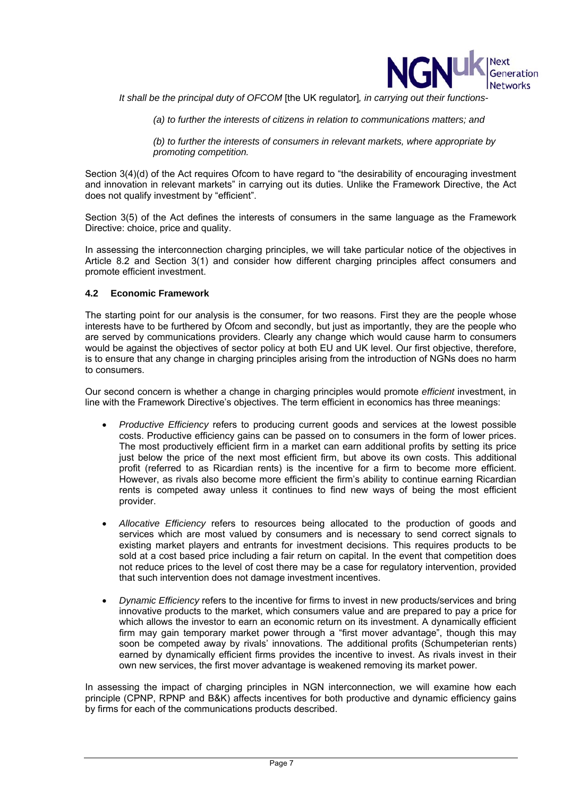

*It shall be the principal duty of OFCOM* [the UK regulator]*, in carrying out their functions-* 

*(a) to further the interests of citizens in relation to communications matters; and* 

*(b) to further the interests of consumers in relevant markets, where appropriate by promoting competition.* 

Section 3(4)(d) of the Act requires Ofcom to have regard to "the desirability of encouraging investment and innovation in relevant markets" in carrying out its duties. Unlike the Framework Directive, the Act does not qualify investment by "efficient".

Section 3(5) of the Act defines the interests of consumers in the same language as the Framework Directive: choice, price and quality.

In assessing the interconnection charging principles, we will take particular notice of the objectives in Article 8.2 and Section 3(1) and consider how different charging principles affect consumers and promote efficient investment.

#### **4.2 Economic Framework**

The starting point for our analysis is the consumer, for two reasons. First they are the people whose interests have to be furthered by Ofcom and secondly, but just as importantly, they are the people who are served by communications providers. Clearly any change which would cause harm to consumers would be against the objectives of sector policy at both EU and UK level. Our first objective, therefore, is to ensure that any change in charging principles arising from the introduction of NGNs does no harm to consumers.

Our second concern is whether a change in charging principles would promote *efficient* investment, in line with the Framework Directive's objectives. The term efficient in economics has three meanings:

- *Productive Efficiency* refers to producing current goods and services at the lowest possible costs. Productive efficiency gains can be passed on to consumers in the form of lower prices. The most productively efficient firm in a market can earn additional profits by setting its price just below the price of the next most efficient firm, but above its own costs. This additional profit (referred to as Ricardian rents) is the incentive for a firm to become more efficient. However, as rivals also become more efficient the firm's ability to continue earning Ricardian rents is competed away unless it continues to find new ways of being the most efficient provider.
- *Allocative Efficiency* refers to resources being allocated to the production of goods and services which are most valued by consumers and is necessary to send correct signals to existing market players and entrants for investment decisions. This requires products to be sold at a cost based price including a fair return on capital. In the event that competition does not reduce prices to the level of cost there may be a case for regulatory intervention, provided that such intervention does not damage investment incentives.
- *Dynamic Efficiency* refers to the incentive for firms to invest in new products/services and bring innovative products to the market, which consumers value and are prepared to pay a price for which allows the investor to earn an economic return on its investment. A dynamically efficient firm may gain temporary market power through a "first mover advantage", though this may soon be competed away by rivals' innovations. The additional profits (Schumpeterian rents) earned by dynamically efficient firms provides the incentive to invest. As rivals invest in their own new services, the first mover advantage is weakened removing its market power.

In assessing the impact of charging principles in NGN interconnection, we will examine how each principle (CPNP, RPNP and B&K) affects incentives for both productive and dynamic efficiency gains by firms for each of the communications products described.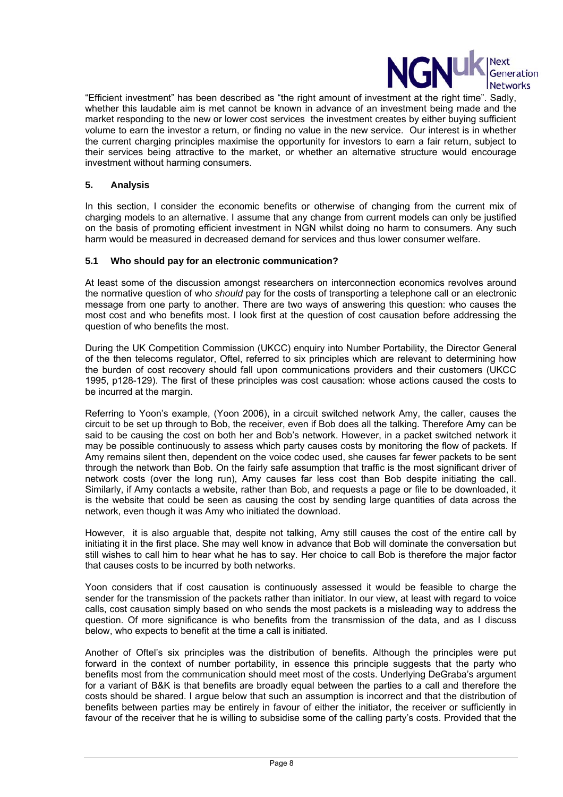

"Efficient investment" has been described as "the right amount of investment at the right time". Sadly, whether this laudable aim is met cannot be known in advance of an investment being made and the market responding to the new or lower cost services the investment creates by either buying sufficient volume to earn the investor a return, or finding no value in the new service. Our interest is in whether the current charging principles maximise the opportunity for investors to earn a fair return, subject to their services being attractive to the market, or whether an alternative structure would encourage investment without harming consumers.

# **5. Analysis**

In this section, I consider the economic benefits or otherwise of changing from the current mix of charging models to an alternative. I assume that any change from current models can only be justified on the basis of promoting efficient investment in NGN whilst doing no harm to consumers. Any such harm would be measured in decreased demand for services and thus lower consumer welfare.

#### **5.1 Who should pay for an electronic communication?**

At least some of the discussion amongst researchers on interconnection economics revolves around the normative question of who *should* pay for the costs of transporting a telephone call or an electronic message from one party to another. There are two ways of answering this question: who causes the most cost and who benefits most. I look first at the question of cost causation before addressing the question of who benefits the most.

During the UK Competition Commission (UKCC) enquiry into Number Portability, the Director General of the then telecoms regulator, Oftel, referred to six principles which are relevant to determining how the burden of cost recovery should fall upon communications providers and their customers (UKCC 1995, p128-129). The first of these principles was cost causation: whose actions caused the costs to be incurred at the margin.

Referring to Yoon's example, (Yoon 2006), in a circuit switched network Amy, the caller, causes the circuit to be set up through to Bob, the receiver, even if Bob does all the talking. Therefore Amy can be said to be causing the cost on both her and Bob's network. However, in a packet switched network it may be possible continuously to assess which party causes costs by monitoring the flow of packets. If Amy remains silent then, dependent on the voice codec used, she causes far fewer packets to be sent through the network than Bob. On the fairly safe assumption that traffic is the most significant driver of network costs (over the long run), Amy causes far less cost than Bob despite initiating the call. Similarly, if Amy contacts a website, rather than Bob, and requests a page or file to be downloaded, it is the website that could be seen as causing the cost by sending large quantities of data across the network, even though it was Amy who initiated the download.

However, it is also arguable that, despite not talking, Amy still causes the cost of the entire call by initiating it in the first place. She may well know in advance that Bob will dominate the conversation but still wishes to call him to hear what he has to say. Her choice to call Bob is therefore the major factor that causes costs to be incurred by both networks.

Yoon considers that if cost causation is continuously assessed it would be feasible to charge the sender for the transmission of the packets rather than initiator. In our view, at least with regard to voice calls, cost causation simply based on who sends the most packets is a misleading way to address the question. Of more significance is who benefits from the transmission of the data, and as I discuss below, who expects to benefit at the time a call is initiated.

Another of Oftel's six principles was the distribution of benefits. Although the principles were put forward in the context of number portability, in essence this principle suggests that the party who benefits most from the communication should meet most of the costs. Underlying DeGraba's argument for a variant of B&K is that benefits are broadly equal between the parties to a call and therefore the costs should be shared. I argue below that such an assumption is incorrect and that the distribution of benefits between parties may be entirely in favour of either the initiator, the receiver or sufficiently in favour of the receiver that he is willing to subsidise some of the calling party's costs. Provided that the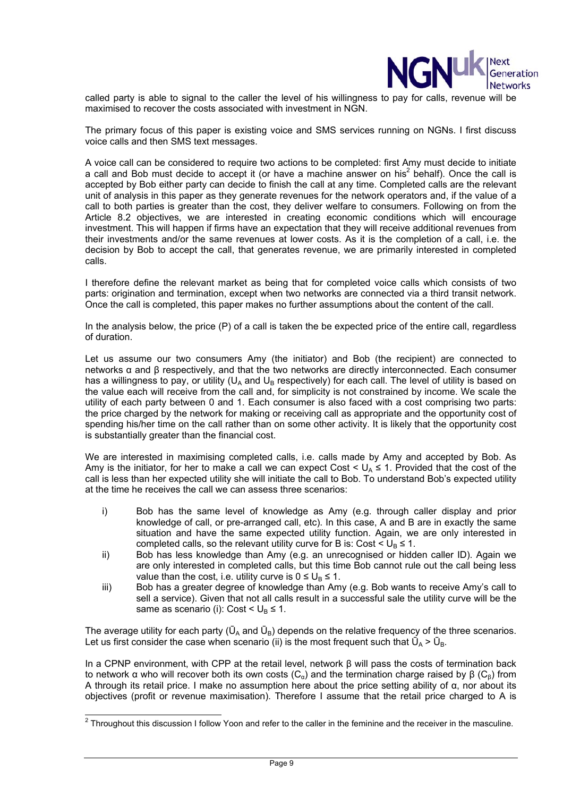

called party is able to signal to the caller the level of his willingness to pay for calls, revenue will be maximised to recover the costs associated with investment in NGN.

The primary focus of this paper is existing voice and SMS services running on NGNs. I first discuss voice calls and then SMS text messages.

A voice call can be considered to require two actions to be completed: first Amy must decide to initiate a call and Bob must decide to accept it (or have a machine answer on his<sup>2</sup> behalf). Once the call is accepted by Bob either party can decide to finish the call at any time. Completed calls are the relevant unit of analysis in this paper as they generate revenues for the network operators and, if the value of a call to both parties is greater than the cost, they deliver welfare to consumers. Following on from the Article 8.2 objectives, we are interested in creating economic conditions which will encourage investment. This will happen if firms have an expectation that they will receive additional revenues from their investments and/or the same revenues at lower costs. As it is the completion of a call, i.e. the decision by Bob to accept the call, that generates revenue, we are primarily interested in completed calls.

I therefore define the relevant market as being that for completed voice calls which consists of two parts: origination and termination, except when two networks are connected via a third transit network. Once the call is completed, this paper makes no further assumptions about the content of the call.

In the analysis below, the price (P) of a call is taken the be expected price of the entire call, regardless of duration.

Let us assume our two consumers Amy (the initiator) and Bob (the recipient) are connected to networks α and β respectively, and that the two networks are directly interconnected. Each consumer has a willingness to pay, or utility ( $U_A$  and  $U_B$  respectively) for each call. The level of utility is based on the value each will receive from the call and, for simplicity is not constrained by income. We scale the utility of each party between 0 and 1. Each consumer is also faced with a cost comprising two parts: the price charged by the network for making or receiving call as appropriate and the opportunity cost of spending his/her time on the call rather than on some other activity. It is likely that the opportunity cost is substantially greater than the financial cost.

We are interested in maximising completed calls, i.e. calls made by Amy and accepted by Bob. As Amy is the initiator, for her to make a call we can expect Cost  $< U_A \leq 1$ . Provided that the cost of the call is less than her expected utility she will initiate the call to Bob. To understand Bob's expected utility at the time he receives the call we can assess three scenarios:

- i) Bob has the same level of knowledge as Amy (e.g. through caller display and prior knowledge of call, or pre-arranged call, etc). In this case, A and B are in exactly the same situation and have the same expected utility function. Again, we are only interested in completed calls, so the relevant utility curve for B is: Cost  $\leq U_B \leq 1$ .
- ii) Bob has less knowledge than Amy (e.g. an unrecognised or hidden caller ID). Again we are only interested in completed calls, but this time Bob cannot rule out the call being less value than the cost, i.e. utility curve is  $0 \leq U_{\text{B}} \leq 1$ .
- iii) Bob has a greater degree of knowledge than Amy (e.g. Bob wants to receive Amy's call to sell a service). Given that not all calls result in a successful sale the utility curve will be the same as scenario (i): Cost  $\leq U_{\rm B} \leq 1$ .

The average utility for each party ( $\bar{U}_A$  and  $\bar{U}_B$ ) depends on the relative frequency of the three scenarios. Let us first consider the case when scenario (ii) is the most frequent such that  $\vec{U}_A > \vec{U}_B$ .

In a CPNP environment, with CPP at the retail level, network β will pass the costs of termination back to network α who will recover both its own costs  $(C_α)$  and the termination charge raised by β ( $C_β$ ) from A through its retail price. I make no assumption here about the price setting ability of α, nor about its objectives (profit or revenue maximisation). Therefore I assume that the retail price charged to A is

 2 Throughout this discussion I follow Yoon and refer to the caller in the feminine and the receiver in the masculine.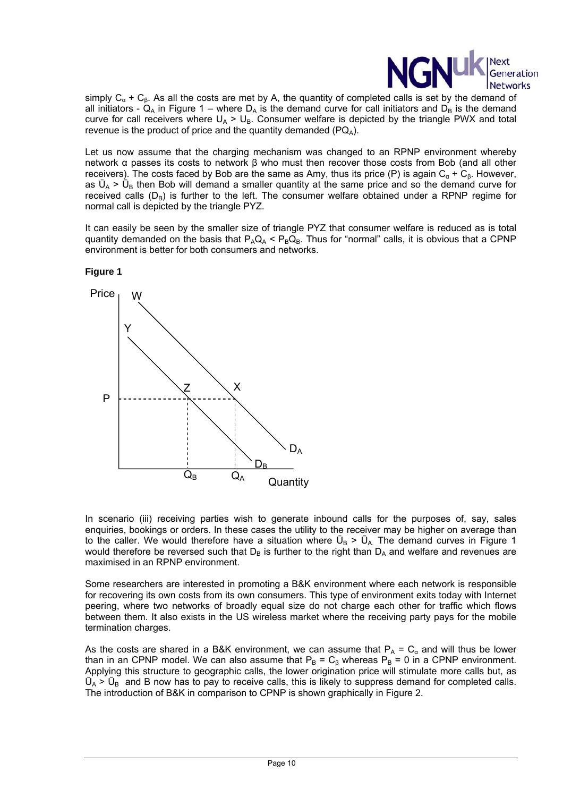

simply  $C_{\alpha}$  +  $C_{\beta}$ . As all the costs are met by A, the quantity of completed calls is set by the demand of all initiators -  $Q_A$  in Figure 1 – where  $D_A$  is the demand curve for call initiators and  $D_B$  is the demand curve for call receivers where  $U_A > U_B$ . Consumer welfare is depicted by the triangle PWX and total revenue is the product of price and the quantity demanded ( $PQ_4$ ).

Let us now assume that the charging mechanism was changed to an RPNP environment whereby network α passes its costs to network β who must then recover those costs from Bob (and all other receivers). The costs faced by Bob are the same as Amy, thus its price (P) is again  $C_{\alpha} + C_{\beta}$ . However, as  $\bar{U}_A > \bar{U}_B$  then Bob will demand a smaller quantity at the same price and so the demand curve for received calls  $(D_B)$  is further to the left. The consumer welfare obtained under a RPNP regime for normal call is depicted by the triangle PYZ.

It can easily be seen by the smaller size of triangle PYZ that consumer welfare is reduced as is total quantity demanded on the basis that  $P_AQ_A < P_BQ_B$ . Thus for "normal" calls, it is obvious that a CPNP environment is better for both consumers and networks.



**Figure 1** 

In scenario (iii) receiving parties wish to generate inbound calls for the purposes of, say, sales enquiries, bookings or orders. In these cases the utility to the receiver may be higher on average than to the caller. We would therefore have a situation where  $\bar{U}_B > \bar{U}_A$ . The demand curves in Figure 1 would therefore be reversed such that  $D_B$  is further to the right than  $D_A$  and welfare and revenues are maximised in an RPNP environment.

Some researchers are interested in promoting a B&K environment where each network is responsible for recovering its own costs from its own consumers. This type of environment exits today with Internet peering, where two networks of broadly equal size do not charge each other for traffic which flows between them. It also exists in the US wireless market where the receiving party pays for the mobile termination charges.

As the costs are shared in a B&K environment, we can assume that  $P_A = C_\alpha$  and will thus be lower than in an CPNP model. We can also assume that  $P_B = C_\beta$  whereas  $P_B = 0$  in a CPNP environment. Applying this structure to geographic calls, the lower origination price will stimulate more calls but, as  $\bar{U}_A > \bar{U}_B$  and B now has to pay to receive calls, this is likely to suppress demand for completed calls. The introduction of B&K in comparison to CPNP is shown graphically in Figure 2.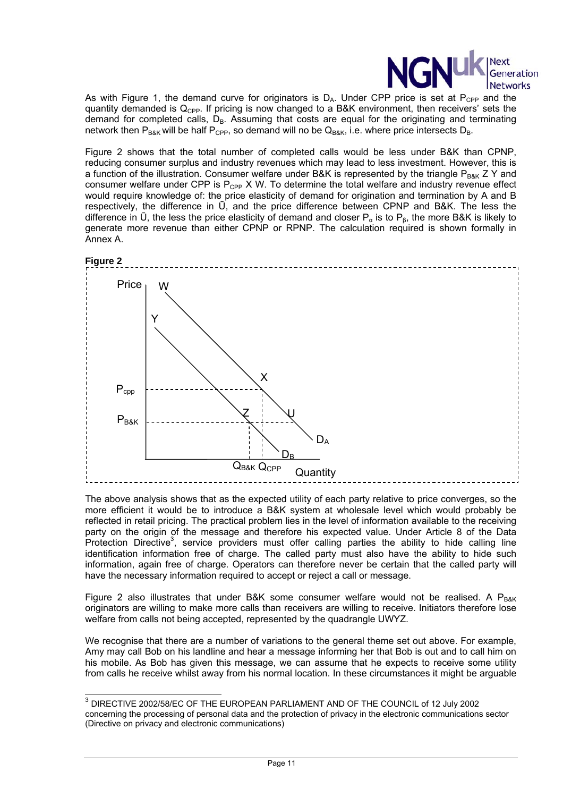

As with Figure 1, the demand curve for originators is  $D_A$ . Under CPP price is set at  $P_{CPP}$  and the quantity demanded is  $Q_{\text{CPP}}$ . If pricing is now changed to a B&K environment, then receivers' sets the demand for completed calls,  $D_B$ . Assuming that costs are equal for the originating and terminating network then  $P_{\text{Bek}}$  will be half  $P_{\text{CPP}}$ , so demand will no be  $Q_{\text{Bek}}$ , i.e. where price intersects  $D_{\text{Bek}}$ .

Figure 2 shows that the total number of completed calls would be less under B&K than CPNP, reducing consumer surplus and industry revenues which may lead to less investment. However, this is a function of the illustration. Consumer welfare under B&K is represented by the triangle  $P_{B\&K}$  Z Y and consumer welfare under CPP is  $P_{CPP}$  X W. To determine the total welfare and industry revenue effect would require knowledge of: the price elasticity of demand for origination and termination by A and B respectively, the difference in Ū, and the price difference between CPNP and B&K. The less the difference in  $\bar{U}$ , the less the price elasticity of demand and closer  $P_{\alpha}$  is to  $P_{\beta}$ , the more B&K is likely to generate more revenue than either CPNP or RPNP. The calculation required is shown formally in Annex A.



The above analysis shows that as the expected utility of each party relative to price converges, so the more efficient it would be to introduce a B&K system at wholesale level which would probably be reflected in retail pricing. The practical problem lies in the level of information available to the receiving party on the origin of the message and therefore his expected value. Under Article 8 of the Data Protection Directive<sup>3</sup>, service providers must offer calling parties the ability to hide calling line identification information free of charge. The called party must also have the ability to hide such information, again free of charge. Operators can therefore never be certain that the called party will have the necessary information required to accept or reject a call or message.

Figure 2 also illustrates that under B&K some consumer welfare would not be realised. A  $P_{BAK}$ originators are willing to make more calls than receivers are willing to receive. Initiators therefore lose welfare from calls not being accepted, represented by the quadrangle UWYZ.

We recognise that there are a number of variations to the general theme set out above. For example, Amy may call Bob on his landline and hear a message informing her that Bob is out and to call him on his mobile. As Bob has given this message, we can assume that he expects to receive some utility from calls he receive whilst away from his normal location. In these circumstances it might be arguable

l

 $^3$  DIRECTIVE 2002/58/EC OF THE EUROPEAN PARLIAMENT AND OF THE COUNCIL of 12 July 2002 concerning the processing of personal data and the protection of privacy in the electronic communications sector (Directive on privacy and electronic communications)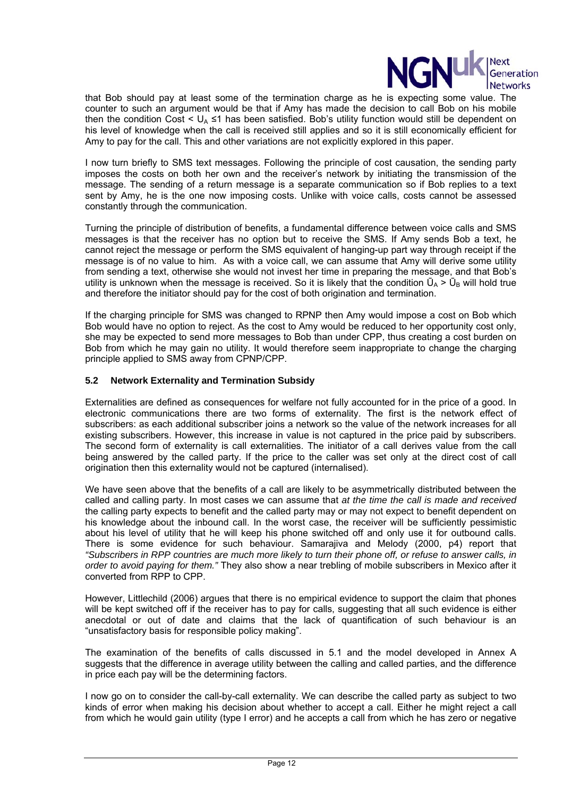

that Bob should pay at least some of the termination charge as he is expecting some value. The counter to such an argument would be that if Amy has made the decision to call Bob on his mobile then the condition Cost <  $U_A \leq 1$  has been satisfied. Bob's utility function would still be dependent on his level of knowledge when the call is received still applies and so it is still economically efficient for Amy to pay for the call. This and other variations are not explicitly explored in this paper.

I now turn briefly to SMS text messages. Following the principle of cost causation, the sending party imposes the costs on both her own and the receiver's network by initiating the transmission of the message. The sending of a return message is a separate communication so if Bob replies to a text sent by Amy, he is the one now imposing costs. Unlike with voice calls, costs cannot be assessed constantly through the communication.

Turning the principle of distribution of benefits, a fundamental difference between voice calls and SMS messages is that the receiver has no option but to receive the SMS. If Amy sends Bob a text, he cannot reject the message or perform the SMS equivalent of hanging-up part way through receipt if the message is of no value to him. As with a voice call, we can assume that Amy will derive some utility from sending a text, otherwise she would not invest her time in preparing the message, and that Bob's utility is unknown when the message is received. So it is likely that the condition  $\bar{U}_A > \bar{U}_B$  will hold true and therefore the initiator should pay for the cost of both origination and termination.

If the charging principle for SMS was changed to RPNP then Amy would impose a cost on Bob which Bob would have no option to reject. As the cost to Amy would be reduced to her opportunity cost only, she may be expected to send more messages to Bob than under CPP, thus creating a cost burden on Bob from which he may gain no utility. It would therefore seem inappropriate to change the charging principle applied to SMS away from CPNP/CPP.

# **5.2 Network Externality and Termination Subsidy**

Externalities are defined as consequences for welfare not fully accounted for in the price of a good. In electronic communications there are two forms of externality. The first is the network effect of subscribers: as each additional subscriber joins a network so the value of the network increases for all existing subscribers. However, this increase in value is not captured in the price paid by subscribers. The second form of externality is call externalities. The initiator of a call derives value from the call being answered by the called party. If the price to the caller was set only at the direct cost of call origination then this externality would not be captured (internalised).

We have seen above that the benefits of a call are likely to be asymmetrically distributed between the called and calling party. In most cases we can assume that *at the time the call is made and received* the calling party expects to benefit and the called party may or may not expect to benefit dependent on his knowledge about the inbound call. In the worst case, the receiver will be sufficiently pessimistic about his level of utility that he will keep his phone switched off and only use it for outbound calls. There is some evidence for such behaviour. Samarajiva and Melody (2000, p4) report that *"Subscribers in RPP countries are much more likely to turn their phone off, or refuse to answer calls, in order to avoid paying for them."* They also show a near trebling of mobile subscribers in Mexico after it converted from RPP to CPP.

However, Littlechild (2006) argues that there is no empirical evidence to support the claim that phones will be kept switched off if the receiver has to pay for calls, suggesting that all such evidence is either anecdotal or out of date and claims that the lack of quantification of such behaviour is an "unsatisfactory basis for responsible policy making".

The examination of the benefits of calls discussed in 5.1 and the model developed in Annex A suggests that the difference in average utility between the calling and called parties, and the difference in price each pay will be the determining factors.

I now go on to consider the call-by-call externality. We can describe the called party as subject to two kinds of error when making his decision about whether to accept a call. Either he might reject a call from which he would gain utility (type I error) and he accepts a call from which he has zero or negative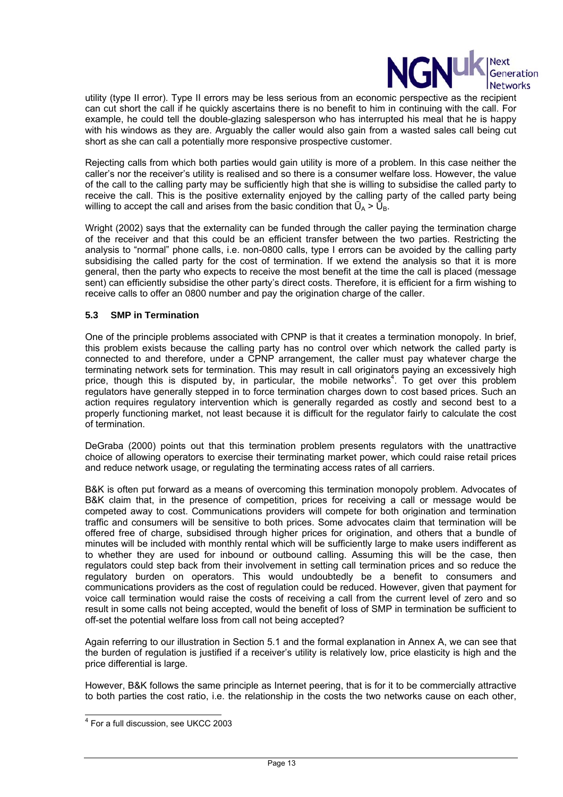

utility (type II error). Type II errors may be less serious from an economic perspective as the recipient can cut short the call if he quickly ascertains there is no benefit to him in continuing with the call. For example, he could tell the double-glazing salesperson who has interrupted his meal that he is happy with his windows as they are. Arguably the caller would also gain from a wasted sales call being cut short as she can call a potentially more responsive prospective customer.

Rejecting calls from which both parties would gain utility is more of a problem. In this case neither the caller's nor the receiver's utility is realised and so there is a consumer welfare loss. However, the value of the call to the calling party may be sufficiently high that she is willing to subsidise the called party to receive the call. This is the positive externality enjoyed by the calling party of the called party being willing to accept the call and arises from the basic condition that  $\bar{U}_A > \bar{U}_B$ .

Wright (2002) says that the externality can be funded through the caller paying the termination charge of the receiver and that this could be an efficient transfer between the two parties. Restricting the analysis to "normal" phone calls, i.e. non-0800 calls, type I errors can be avoided by the calling party subsidising the called party for the cost of termination. If we extend the analysis so that it is more general, then the party who expects to receive the most benefit at the time the call is placed (message sent) can efficiently subsidise the other party's direct costs. Therefore, it is efficient for a firm wishing to receive calls to offer an 0800 number and pay the origination charge of the caller.

## **5.3 SMP in Termination**

One of the principle problems associated with CPNP is that it creates a termination monopoly. In brief, this problem exists because the calling party has no control over which network the called party is connected to and therefore, under a CPNP arrangement, the caller must pay whatever charge the terminating network sets for termination. This may result in call originators paying an excessively high price, though this is disputed by, in particular, the mobile networks<sup>4</sup>. To get over this problem regulators have generally stepped in to force termination charges down to cost based prices. Such an action requires regulatory intervention which is generally regarded as costly and second best to a properly functioning market, not least because it is difficult for the regulator fairly to calculate the cost of termination.

DeGraba (2000) points out that this termination problem presents regulators with the unattractive choice of allowing operators to exercise their terminating market power, which could raise retail prices and reduce network usage, or regulating the terminating access rates of all carriers.

B&K is often put forward as a means of overcoming this termination monopoly problem. Advocates of B&K claim that, in the presence of competition, prices for receiving a call or message would be competed away to cost. Communications providers will compete for both origination and termination traffic and consumers will be sensitive to both prices. Some advocates claim that termination will be offered free of charge, subsidised through higher prices for origination, and others that a bundle of minutes will be included with monthly rental which will be sufficiently large to make users indifferent as to whether they are used for inbound or outbound calling. Assuming this will be the case, then regulators could step back from their involvement in setting call termination prices and so reduce the regulatory burden on operators. This would undoubtedly be a benefit to consumers and communications providers as the cost of regulation could be reduced. However, given that payment for voice call termination would raise the costs of receiving a call from the current level of zero and so result in some calls not being accepted, would the benefit of loss of SMP in termination be sufficient to off-set the potential welfare loss from call not being accepted?

Again referring to our illustration in Section 5.1 and the formal explanation in Annex A, we can see that the burden of regulation is justified if a receiver's utility is relatively low, price elasticity is high and the price differential is large.

However, B&K follows the same principle as Internet peering, that is for it to be commercially attractive to both parties the cost ratio, i.e. the relationship in the costs the two networks cause on each other,

 4 For a full discussion, see UKCC 2003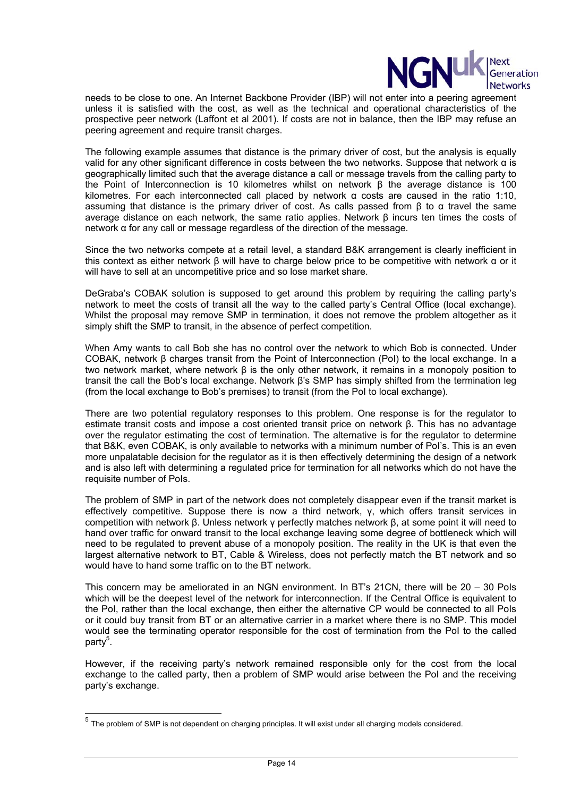

needs to be close to one. An Internet Backbone Provider (IBP) will not enter into a peering agreement unless it is satisfied with the cost, as well as the technical and operational characteristics of the prospective peer network (Laffont et al 2001). If costs are not in balance, then the IBP may refuse an peering agreement and require transit charges.

The following example assumes that distance is the primary driver of cost, but the analysis is equally valid for any other significant difference in costs between the two networks. Suppose that network α is geographically limited such that the average distance a call or message travels from the calling party to the Point of Interconnection is 10 kilometres whilst on network β the average distance is 100 kilometres. For each interconnected call placed by network α costs are caused in the ratio 1:10, assuming that distance is the primary driver of cost. As calls passed from β to  $α$  travel the same average distance on each network, the same ratio applies. Network β incurs ten times the costs of network α for any call or message regardless of the direction of the message.

Since the two networks compete at a retail level, a standard B&K arrangement is clearly inefficient in this context as either network β will have to charge below price to be competitive with network α or it will have to sell at an uncompetitive price and so lose market share.

DeGraba's COBAK solution is supposed to get around this problem by requiring the calling party's network to meet the costs of transit all the way to the called party's Central Office (local exchange). Whilst the proposal may remove SMP in termination, it does not remove the problem altogether as it simply shift the SMP to transit, in the absence of perfect competition.

When Amy wants to call Bob she has no control over the network to which Bob is connected. Under COBAK, network β charges transit from the Point of Interconnection (PoI) to the local exchange. In a two network market, where network β is the only other network, it remains in a monopoly position to transit the call the Bob's local exchange. Network β's SMP has simply shifted from the termination leg (from the local exchange to Bob's premises) to transit (from the PoI to local exchange).

There are two potential regulatory responses to this problem. One response is for the regulator to estimate transit costs and impose a cost oriented transit price on network β. This has no advantage over the regulator estimating the cost of termination. The alternative is for the regulator to determine that B&K, even COBAK, is only available to networks with a minimum number of PoI's. This is an even more unpalatable decision for the regulator as it is then effectively determining the design of a network and is also left with determining a regulated price for termination for all networks which do not have the requisite number of PoIs.

The problem of SMP in part of the network does not completely disappear even if the transit market is effectively competitive. Suppose there is now a third network, γ, which offers transit services in competition with network β. Unless network γ perfectly matches network β, at some point it will need to hand over traffic for onward transit to the local exchange leaving some degree of bottleneck which will need to be regulated to prevent abuse of a monopoly position. The reality in the UK is that even the largest alternative network to BT, Cable & Wireless, does not perfectly match the BT network and so would have to hand some traffic on to the BT network.

This concern may be ameliorated in an NGN environment. In BT's 21CN, there will be 20 – 30 PoIs which will be the deepest level of the network for interconnection. If the Central Office is equivalent to the PoI, rather than the local exchange, then either the alternative CP would be connected to all PoIs or it could buy transit from BT or an alternative carrier in a market where there is no SMP. This model would see the terminating operator responsible for the cost of termination from the PoI to the called party<sup>5</sup>.

However, if the receiving party's network remained responsible only for the cost from the local exchange to the called party, then a problem of SMP would arise between the PoI and the receiving party's exchange.

l

 $<sup>5</sup>$  The problem of SMP is not dependent on charging principles. It will exist under all charging models considered.</sup>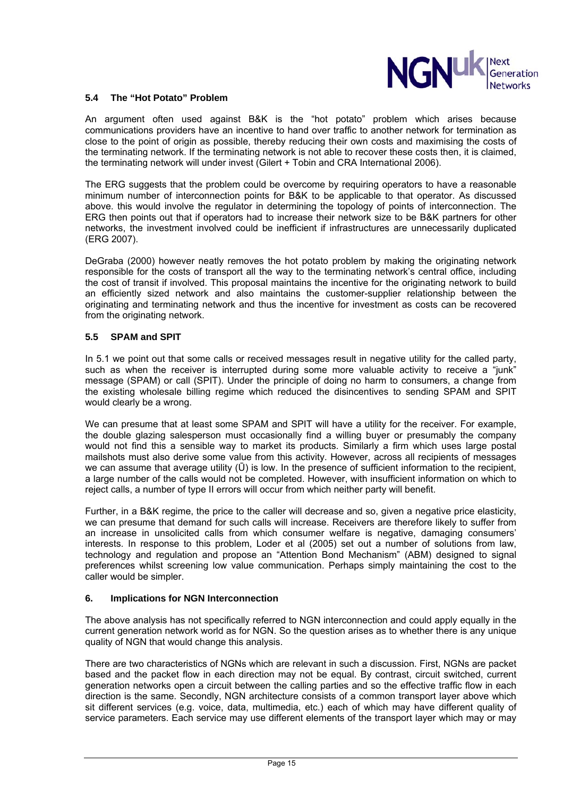

#### **5.4 The "Hot Potato" Problem**

An argument often used against B&K is the "hot potato" problem which arises because communications providers have an incentive to hand over traffic to another network for termination as close to the point of origin as possible, thereby reducing their own costs and maximising the costs of the terminating network. If the terminating network is not able to recover these costs then, it is claimed, the terminating network will under invest (Gilert + Tobin and CRA International 2006).

The ERG suggests that the problem could be overcome by requiring operators to have a reasonable minimum number of interconnection points for B&K to be applicable to that operator. As discussed above. this would involve the regulator in determining the topology of points of interconnection. The ERG then points out that if operators had to increase their network size to be B&K partners for other networks, the investment involved could be inefficient if infrastructures are unnecessarily duplicated (ERG 2007).

DeGraba (2000) however neatly removes the hot potato problem by making the originating network responsible for the costs of transport all the way to the terminating network's central office, including the cost of transit if involved. This proposal maintains the incentive for the originating network to build an efficiently sized network and also maintains the customer-supplier relationship between the originating and terminating network and thus the incentive for investment as costs can be recovered from the originating network.

## **5.5 SPAM and SPIT**

In 5.1 we point out that some calls or received messages result in negative utility for the called party, such as when the receiver is interrupted during some more valuable activity to receive a "junk" message (SPAM) or call (SPIT). Under the principle of doing no harm to consumers, a change from the existing wholesale billing regime which reduced the disincentives to sending SPAM and SPIT would clearly be a wrong.

We can presume that at least some SPAM and SPIT will have a utility for the receiver. For example, the double glazing salesperson must occasionally find a willing buyer or presumably the company would not find this a sensible way to market its products. Similarly a firm which uses large postal mailshots must also derive some value from this activity. However, across all recipients of messages we can assume that average utility ( $\overline{U}$ ) is low. In the presence of sufficient information to the recipient, a large number of the calls would not be completed. However, with insufficient information on which to reject calls, a number of type II errors will occur from which neither party will benefit.

Further, in a B&K regime, the price to the caller will decrease and so, given a negative price elasticity, we can presume that demand for such calls will increase. Receivers are therefore likely to suffer from an increase in unsolicited calls from which consumer welfare is negative, damaging consumers' interests. In response to this problem, Loder et al (2005) set out a number of solutions from law, technology and regulation and propose an "Attention Bond Mechanism" (ABM) designed to signal preferences whilst screening low value communication. Perhaps simply maintaining the cost to the caller would be simpler.

#### **6. Implications for NGN Interconnection**

The above analysis has not specifically referred to NGN interconnection and could apply equally in the current generation network world as for NGN. So the question arises as to whether there is any unique quality of NGN that would change this analysis.

There are two characteristics of NGNs which are relevant in such a discussion. First, NGNs are packet based and the packet flow in each direction may not be equal. By contrast, circuit switched, current generation networks open a circuit between the calling parties and so the effective traffic flow in each direction is the same. Secondly, NGN architecture consists of a common transport layer above which sit different services (e.g. voice, data, multimedia, etc.) each of which may have different quality of service parameters. Each service may use different elements of the transport layer which may or may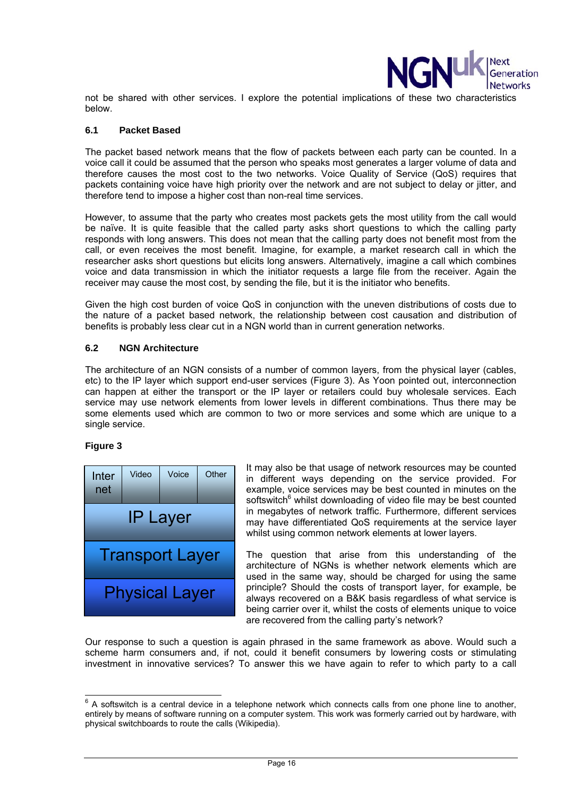

not be shared with other services. I explore the potential implications of these two characteristics below.

#### **6.1 Packet Based**

The packet based network means that the flow of packets between each party can be counted. In a voice call it could be assumed that the person who speaks most generates a larger volume of data and therefore causes the most cost to the two networks. Voice Quality of Service (QoS) requires that packets containing voice have high priority over the network and are not subject to delay or jitter, and therefore tend to impose a higher cost than non-real time services.

However, to assume that the party who creates most packets gets the most utility from the call would be naïve. It is quite feasible that the called party asks short questions to which the calling party responds with long answers. This does not mean that the calling party does not benefit most from the call, or even receives the most benefit. Imagine, for example, a market research call in which the researcher asks short questions but elicits long answers. Alternatively, imagine a call which combines voice and data transmission in which the initiator requests a large file from the receiver. Again the receiver may cause the most cost, by sending the file, but it is the initiator who benefits.

Given the high cost burden of voice QoS in conjunction with the uneven distributions of costs due to the nature of a packet based network, the relationship between cost causation and distribution of benefits is probably less clear cut in a NGN world than in current generation networks.

## **6.2 NGN Architecture**

The architecture of an NGN consists of a number of common layers, from the physical layer (cables, etc) to the IP layer which support end-user services (Figure 3). As Yoon pointed out, interconnection can happen at either the transport or the IP layer or retailers could buy wholesale services. Each service may use network elements from lower levels in different combinations. Thus there may be some elements used which are common to two or more services and some which are unique to a single service.

# **Figure 3**



It may also be that usage of network resources may be counted in different ways depending on the service provided. For example, voice services may be best counted in minutes on the softswitch<sup>6</sup> whilst downloading of video file may be best counted in megabytes of network traffic. Furthermore, different services may have differentiated QoS requirements at the service layer whilst using common network elements at lower layers.

The question that arise from this understanding of the architecture of NGNs is whether network elements which are used in the same way, should be charged for using the same principle? Should the costs of transport layer, for example, be always recovered on a B&K basis regardless of what service is being carrier over it, whilst the costs of elements unique to voice are recovered from the calling party's network?

Our response to such a question is again phrased in the same framework as above. Would such a scheme harm consumers and, if not, could it benefit consumers by lowering costs or stimulating investment in innovative services? To answer this we have again to refer to which party to a call

<sup>&</sup>lt;sup>6</sup> A softswitch is a central device in a telephone network which connects calls from one phone line to another, entirely by means of software running on a computer system. This work was formerly carried out by hardware, with physical switchboards to route the calls (Wikipedia).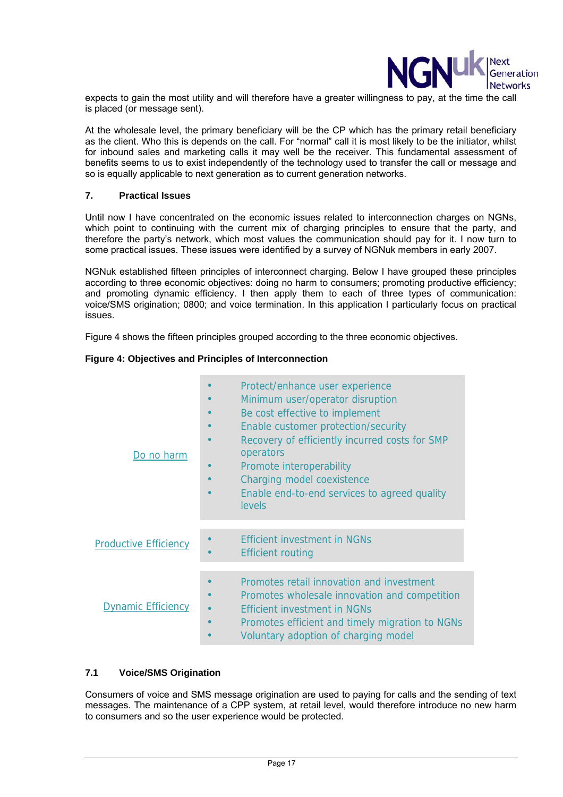

expects to gain the most utility and will therefore have a greater willingness to pay, at the time the call is placed (or message sent).

At the wholesale level, the primary beneficiary will be the CP which has the primary retail beneficiary as the client. Who this is depends on the call. For "normal" call it is most likely to be the initiator, whilst for inbound sales and marketing calls it may well be the receiver. This fundamental assessment of benefits seems to us to exist independently of the technology used to transfer the call or message and so is equally applicable to next generation as to current generation networks.

## **7. Practical Issues**

Until now I have concentrated on the economic issues related to interconnection charges on NGNs, which point to continuing with the current mix of charging principles to ensure that the party, and therefore the party's network, which most values the communication should pay for it. I now turn to some practical issues. These issues were identified by a survey of NGNuk members in early 2007.

NGNuk established fifteen principles of interconnect charging. Below I have grouped these principles according to three economic objectives: doing no harm to consumers; promoting productive efficiency; and promoting dynamic efficiency. I then apply them to each of three types of communication: voice/SMS origination; 0800; and voice termination. In this application I particularly focus on practical issues.

Figure 4 shows the fifteen principles grouped according to the three economic objectives.

## **Figure 4: Objectives and Principles of Interconnection**

| Do no harm                   | Protect/enhance user experience<br>Minimum user/operator disruption<br>Be cost effective to implement<br>Enable customer protection/security<br>Recovery of efficiently incurred costs for SMP<br>operators<br>Promote interoperability<br>Charging model coexistence<br>Enable end-to-end services to agreed quality<br><b>levels</b> |
|------------------------------|----------------------------------------------------------------------------------------------------------------------------------------------------------------------------------------------------------------------------------------------------------------------------------------------------------------------------------------|
| <b>Productive Efficiency</b> | <b>Efficient investment in NGNs</b><br><b>Efficient routing</b>                                                                                                                                                                                                                                                                        |
| <b>Dynamic Efficiency</b>    | Promotes retail innovation and investment<br>Promotes wholesale innovation and competition<br><b>Efficient investment in NGNs</b><br>Promotes efficient and timely migration to NGNs<br>$\bullet$<br>Voluntary adoption of charging model                                                                                              |

# **7.1 Voice/SMS Origination**

Consumers of voice and SMS message origination are used to paying for calls and the sending of text messages. The maintenance of a CPP system, at retail level, would therefore introduce no new harm to consumers and so the user experience would be protected.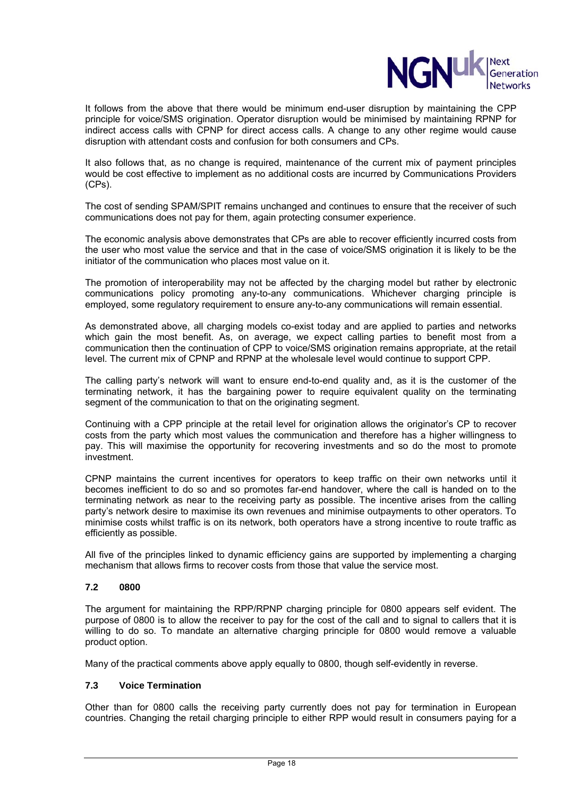

It follows from the above that there would be minimum end-user disruption by maintaining the CPP principle for voice/SMS origination. Operator disruption would be minimised by maintaining RPNP for indirect access calls with CPNP for direct access calls. A change to any other regime would cause disruption with attendant costs and confusion for both consumers and CPs.

It also follows that, as no change is required, maintenance of the current mix of payment principles would be cost effective to implement as no additional costs are incurred by Communications Providers (CPs).

The cost of sending SPAM/SPIT remains unchanged and continues to ensure that the receiver of such communications does not pay for them, again protecting consumer experience.

The economic analysis above demonstrates that CPs are able to recover efficiently incurred costs from the user who most value the service and that in the case of voice/SMS origination it is likely to be the initiator of the communication who places most value on it.

The promotion of interoperability may not be affected by the charging model but rather by electronic communications policy promoting any-to-any communications. Whichever charging principle is employed, some regulatory requirement to ensure any-to-any communications will remain essential.

As demonstrated above, all charging models co-exist today and are applied to parties and networks which gain the most benefit. As, on average, we expect calling parties to benefit most from a communication then the continuation of CPP to voice/SMS origination remains appropriate, at the retail level. The current mix of CPNP and RPNP at the wholesale level would continue to support CPP.

The calling party's network will want to ensure end-to-end quality and, as it is the customer of the terminating network, it has the bargaining power to require equivalent quality on the terminating segment of the communication to that on the originating segment.

Continuing with a CPP principle at the retail level for origination allows the originator's CP to recover costs from the party which most values the communication and therefore has a higher willingness to pay. This will maximise the opportunity for recovering investments and so do the most to promote investment.

CPNP maintains the current incentives for operators to keep traffic on their own networks until it becomes inefficient to do so and so promotes far-end handover, where the call is handed on to the terminating network as near to the receiving party as possible. The incentive arises from the calling party's network desire to maximise its own revenues and minimise outpayments to other operators. To minimise costs whilst traffic is on its network, both operators have a strong incentive to route traffic as efficiently as possible.

All five of the principles linked to dynamic efficiency gains are supported by implementing a charging mechanism that allows firms to recover costs from those that value the service most.

# **7.2 0800**

The argument for maintaining the RPP/RPNP charging principle for 0800 appears self evident. The purpose of 0800 is to allow the receiver to pay for the cost of the call and to signal to callers that it is willing to do so. To mandate an alternative charging principle for 0800 would remove a valuable product option.

Many of the practical comments above apply equally to 0800, though self-evidently in reverse.

# **7.3 Voice Termination**

Other than for 0800 calls the receiving party currently does not pay for termination in European countries. Changing the retail charging principle to either RPP would result in consumers paying for a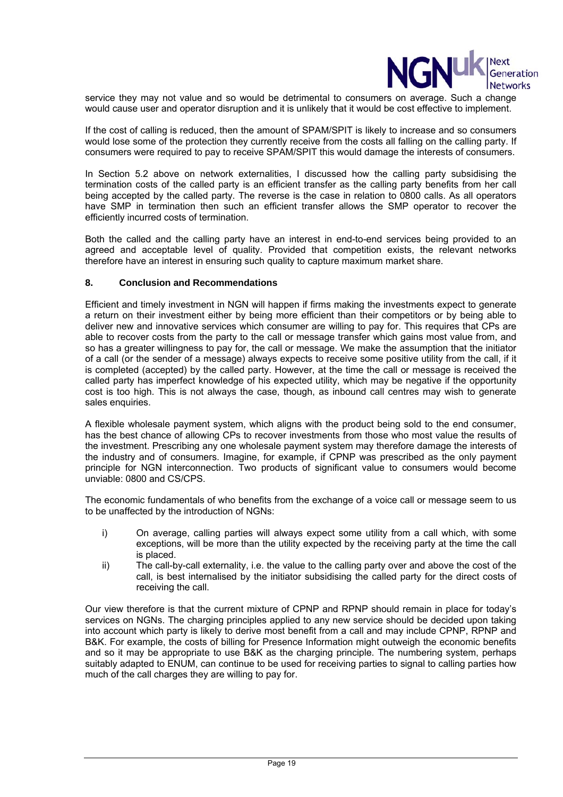

service they may not value and so would be detrimental to consumers on average. Such a change would cause user and operator disruption and it is unlikely that it would be cost effective to implement.

If the cost of calling is reduced, then the amount of SPAM/SPIT is likely to increase and so consumers would lose some of the protection they currently receive from the costs all falling on the calling party. If consumers were required to pay to receive SPAM/SPIT this would damage the interests of consumers.

In Section 5.2 above on network externalities, I discussed how the calling party subsidising the termination costs of the called party is an efficient transfer as the calling party benefits from her call being accepted by the called party. The reverse is the case in relation to 0800 calls. As all operators have SMP in termination then such an efficient transfer allows the SMP operator to recover the efficiently incurred costs of termination.

Both the called and the calling party have an interest in end-to-end services being provided to an agreed and acceptable level of quality. Provided that competition exists, the relevant networks therefore have an interest in ensuring such quality to capture maximum market share.

## **8. Conclusion and Recommendations**

Efficient and timely investment in NGN will happen if firms making the investments expect to generate a return on their investment either by being more efficient than their competitors or by being able to deliver new and innovative services which consumer are willing to pay for. This requires that CPs are able to recover costs from the party to the call or message transfer which gains most value from, and so has a greater willingness to pay for, the call or message. We make the assumption that the initiator of a call (or the sender of a message) always expects to receive some positive utility from the call, if it is completed (accepted) by the called party. However, at the time the call or message is received the called party has imperfect knowledge of his expected utility, which may be negative if the opportunity cost is too high. This is not always the case, though, as inbound call centres may wish to generate sales enquiries.

A flexible wholesale payment system, which aligns with the product being sold to the end consumer, has the best chance of allowing CPs to recover investments from those who most value the results of the investment. Prescribing any one wholesale payment system may therefore damage the interests of the industry and of consumers. Imagine, for example, if CPNP was prescribed as the only payment principle for NGN interconnection. Two products of significant value to consumers would become unviable: 0800 and CS/CPS.

The economic fundamentals of who benefits from the exchange of a voice call or message seem to us to be unaffected by the introduction of NGNs:

- i) On average, calling parties will always expect some utility from a call which, with some exceptions, will be more than the utility expected by the receiving party at the time the call is placed.
- ii) The call-by-call externality, i.e. the value to the calling party over and above the cost of the call, is best internalised by the initiator subsidising the called party for the direct costs of receiving the call.

Our view therefore is that the current mixture of CPNP and RPNP should remain in place for today's services on NGNs. The charging principles applied to any new service should be decided upon taking into account which party is likely to derive most benefit from a call and may include CPNP, RPNP and B&K. For example, the costs of billing for Presence Information might outweigh the economic benefits and so it may be appropriate to use B&K as the charging principle. The numbering system, perhaps suitably adapted to ENUM, can continue to be used for receiving parties to signal to calling parties how much of the call charges they are willing to pay for.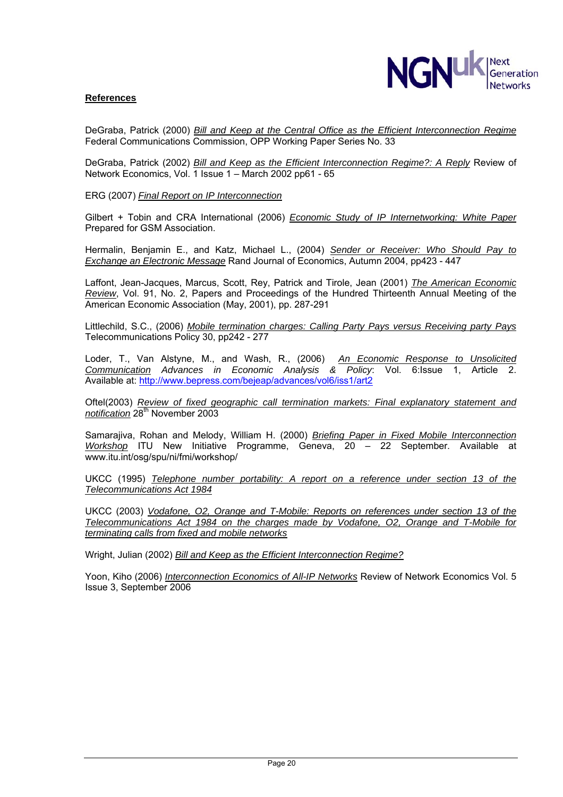

## **References**

DeGraba, Patrick (2000) *Bill and Keep at the Central Office as the Efficient Interconnection Regime* Federal Communications Commission, OPP Working Paper Series No. 33

DeGraba, Patrick (2002) *Bill and Keep as the Efficient Interconnection Regime?: A Reply* Review of Network Economics, Vol. 1 Issue 1 – March 2002 pp61 - 65

ERG (2007) *Final Report on IP Interconnection*

Gilbert + Tobin and CRA International (2006) *Economic Study of IP Internetworking: White Paper* Prepared for GSM Association.

Hermalin, Benjamin E., and Katz, Michael L., (2004) *Sender or Receiver: Who Should Pay to Exchange an Electronic Message* Rand Journal of Economics, Autumn 2004, pp423 - 447

Laffont, Jean-Jacques, Marcus, Scott, Rey, Patrick and Tirole, Jean (2001) *The American Economic Review*, Vol. 91, No. 2, Papers and Proceedings of the Hundred Thirteenth Annual Meeting of the American Economic Association (May, 2001), pp. 287-291

Littlechild, S.C., (2006) *Mobile termination charges: Calling Party Pays versus Receiving party Pays*  Telecommunications Policy 30, pp242 - 277

Loder, T., Van Alstyne, M., and Wash, R., (2006) *An Economic Response to Unsolicited Communication Advances in Economic Analysis & Policy*: Vol. 6:Issue 1, Article 2. Available at: http://www.bepress.com/bejeap/advances/vol6/iss1/art2

Oftel(2003) *Review of fixed geographic call termination markets: Final explanatory statement and notification* 28th November 2003

Samarajiva, Rohan and Melody, William H. (2000) *Briefing Paper in Fixed Mobile Interconnection Workshop* ITU New Initiative Programme, Geneva, 20 – 22 September. Available at www.itu.int/osg/spu/ni/fmi/workshop/

UKCC (1995) *Telephone number portability: A report on a reference under section 13 of the Telecommunications Act 1984*

UKCC (2003) *Vodafone, O2, Orange and T-Mobile: Reports on references under section 13 of the Telecommunications Act 1984 on the charges made by Vodafone, O2, Orange and T-Mobile for terminating calls from fixed and mobile networks*

Wright, Julian (2002) *Bill and Keep as the Efficient Interconnection Regime?*

Yoon, Kiho (2006) *Interconnection Economics of All-IP Networks* Review of Network Economics Vol. 5 Issue 3, September 2006